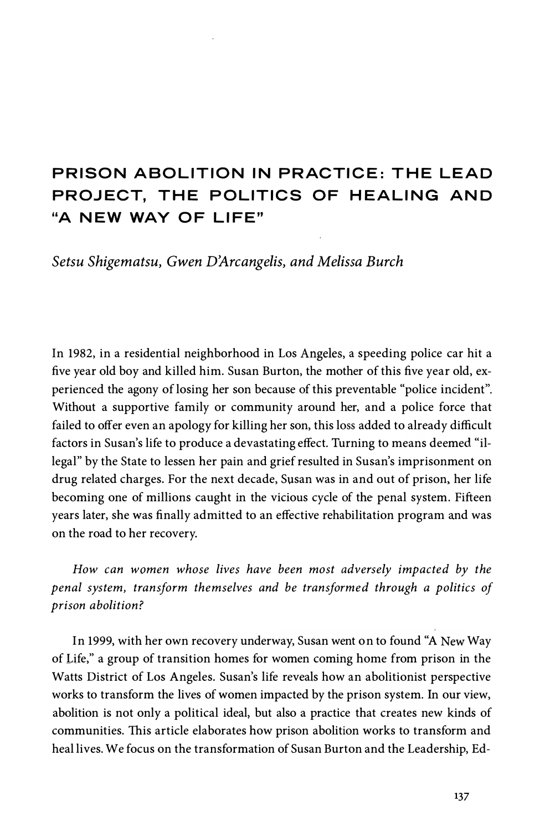# PRISON ABOLITION IN PRACTICE: THE LEAD PROJECT, THE POLITICS OF HEALING AND "A NEW WAY OF LIFE"

Setsu Shigematsu, Gwen D'Arcangelis, and Melissa Burch

In 1982, in a residential neighborhood in Los Angeles, a speeding police car hit a five year old boy and killed him. Susan Burton, the mother of this five year old, experienced the agony of losing her son because of this preventable "police incident". Without a supportive family or community around her, and a police force that failed to offer even an apology for killing her son, this loss added to already difficult factors in Susan's life to produce a devastating effect. Turning to means deemed "illegal" by the State to lessen her pain and grief resulted in Susan's imprisonment on drug related charges. For the next decade, Susan was in and out of prison, her life becoming one of millions caught in the vicious cycle of the penal system. Fifteen years later, she was finally admitted to an effective rehabilitation program and was on the road to her recovery.

How can women whose lives have been most adversely impacted by the penal system, transform themselves and be transformed through a politics of prison abolition?

In 1999, with her own recovery underway, Susan went on to found "A New Way of Life," a group of transition homes for women coming home from prison in the Watts District of Los Angeles. Susan's life reveals how an abolitionist perspective works to transform the lives of women impacted by the prison system. In our view, abolition is not only a political ideal, but also a practice that creates new kinds of communities. This article elaborates how prison abolition works to transform and heal lives. We focus on the transformation of Susan Burton and the Leadership, Ed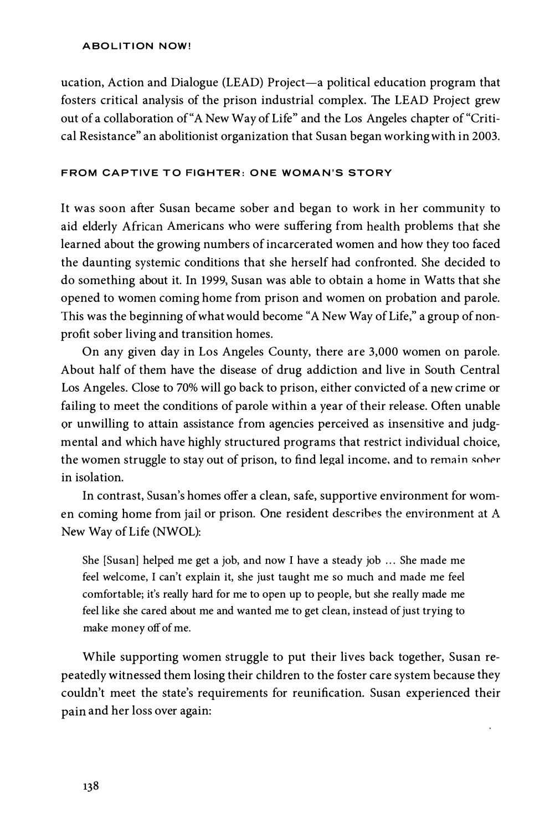ucation, Action and Dialogue (LEAD) Project-a political education program that fosters critical analysis of the prison industrial complex. The LEAD Project grew out of a collaboration of "A New Way of Life" and the Los Angeles chapter of "Critical Resistance" an abolitionist organization that Susan began working with in 2003.

# FROM CAPTIVE TO FIGHTER: ONE WOMAN'S STORY

It was soon after Susan became sober and began to work in her community to aid elderly African Americans who were suffering from health problems that she learned about the growing numbers of incarcerated women and how they too faced the daunting systemic conditions that she herself had confronted. She decided to do something about it. In 1999, Susan was able to obtain a home in Watts that she opened to women coming home from prison and women on probation and parole. This was the beginning of what would become "A New Way of Life," a group of nonprofit sober living and transition homes.

On any given day in Los Angeles County, there are 3,000 women on parole. About half of them have the disease of drug addiction and live in South Central Los Angeles. Close to 70% will go back to prison, either convicted of a new crime or failing to meet the conditions of parole within a year of their release. Often unable or unwilling to attain assistance from agencies perceived as insensitive and judgmental and which have highly structured programs that restrict individual choice, the women struggle to stay out of prison, to find legal income, and to remain sober in isolation.

In contrast, Susan's homes offer a clean, safe, supportive environment for women coming home from jail or prison. One resident describes the environment at A New Way of Life (NWOL):

She [Susan] helped me get a job, and now I have a steady job ... She made me feel welcome, I can't explain it, she just taught me so much and made me feel comfortable; it's really hard for me to open up to people, but she really made me feel like she cared about me and wanted me to get clean, instead of just trying to make money off of me.

While supporting women struggle to put their lives back together, Susan repeatedly witnessed them losing their children to the foster care system because they couldn't meet the state's requirements for reunification. Susan experienced their pain and her loss over again: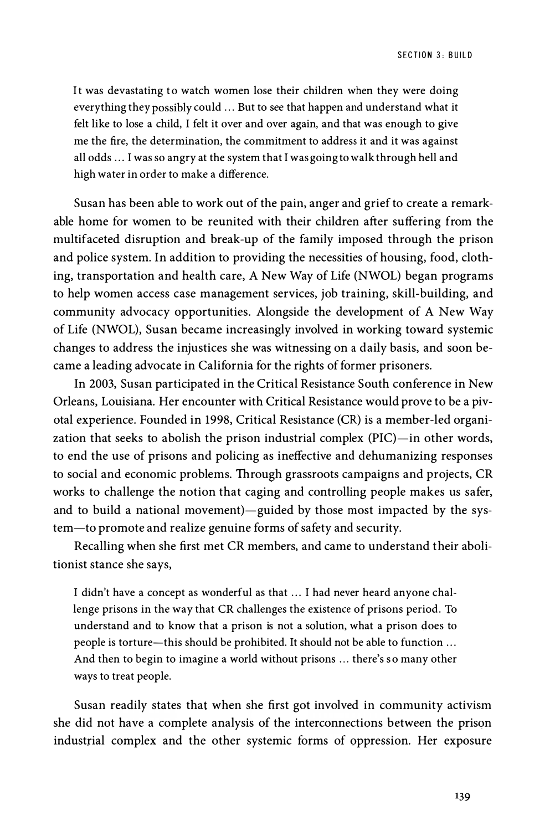It was devastating to watch women lose their children when they were doing everything they possibly could ... But to see that happen and understand what it felt like to lose a child, I felt it over and over again, and that was enough to give me the fire, the determination, the commitment to address it and it was against all odds ... I was so angry at the system that I was going to walk through hell and high water in order to make a difference.

Susan has been able to work out of the pain, anger and grief to create a remarkable home for women to be reunited with their children after suffering from the multifaceted disruption and break-up of the family imposed through the prison and police system. In addition to providing the necessities of housing, food, clothing, transportation and health care, A New Way of Life (NWOL) began programs to help women access case management services, job training, skill-building, and community advocacy opportunities. Alongside the development of A New Way of Life (NWOL), Susan became increasingly involved in working toward systemic changes to address the injustices she was witnessing on a daily basis, and soon became a leading advocate in California for the rights of former prisoners.

In 2003, Susan participated in the Critical Resistance South conference in New Orleans, Louisiana. Her encounter with Critical Resistance would prove to be a pivotal experience. Founded in 1998, Critical Resistance (CR) is a member-led organization that seeks to abolish the prison industrial complex (PIC)-in other words, to end the use of prisons and policing as ineffective and dehumanizing responses to social and economic problems. Through grassroots campaigns and projects, CR works to challenge the notion that caging and controlling people makes us safer, and to build a national movement)-guided by those most impacted by the system-to promote and realize genuine forms of safety and security.

Recalling when she first met CR members, and came to understand their abolitionist stance she says,

I didn't have a concept as wonderful as that ... I had never heard anyone challenge prisons in the way that CR challenges the existence of prisons period. To understand and to know that a prison is not a solution, what a prison does to people is torture-this should be prohibited. It should not be able to function ... And then to begin to imagine a world without prisons ... there's so many other ways to treat people.

Susan readily states that when she first got involved in community activism she did not have a complete analysis of the interconnections between the prison industrial complex and the other systemic forms of oppression. Her exposure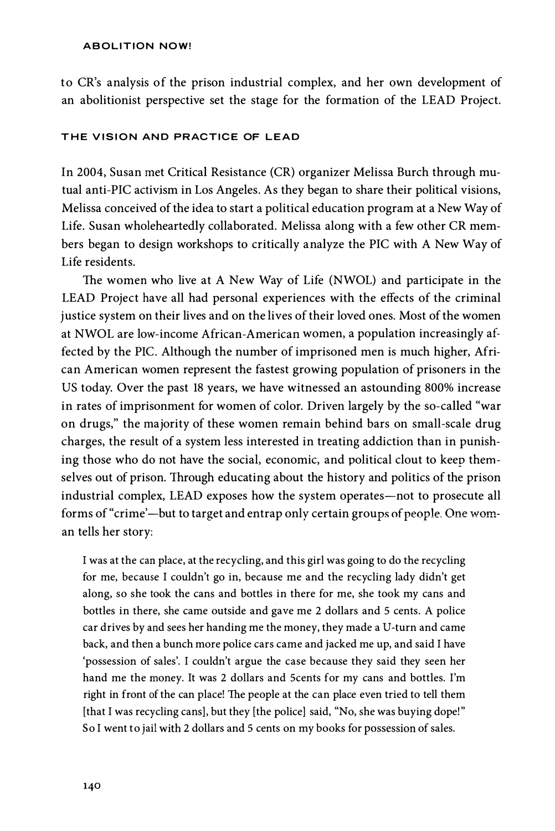## ABOLITION NOW!

to CR's analysis of the prison industrial complex, and her own development of an abolitionist perspective set the stage for the formation of the LEAD Project.

# THE VISION AND PRACTICE OF LEAD

In 2004, Susan met Critical Resistance (CR) organizer Melissa Burch through mutual anti-PIC activism in Los Angeles. As they began to share their political visions, Melissa conceived of the idea to start a political education program at a New Way of Life. Susan wholeheartedly collaborated. Melissa along with a few other CR members began to design workshops to critically analyze the PIC with A New Way of Life residents.

The women who live at A New Way of Life (NWOL) and participate in the LEAD Project have all had personal experiences with the effects of the criminal justice system on their lives and on the lives of their loved ones. Most of the women at NWOL are low-income African-American women, a population increasingly affected by the PIC. Although the number of imprisoned men is much higher, African American women represent the fastest growing population of prisoners in the US today. Over the past 18 years, we have witnessed an astounding 800% increase in rates of imprisonment for women of color. Driven largely by the so-called "war on drugs," the majority of these women remain behind bars on small-scale drug charges, the result of a system less interested in treating addiction than in punishing those who do not have the social, economic, and political clout to keep themselves out of prison. Through educating about the history and politics of the prison industrial complex, LEAD exposes how the system operates-not to prosecute all forms of "crime'-but to target and entrap only certain groups of people. One woman tells her story:

I was at the can place, at the recycling, and this girl was going to do the recycling for me, because I couldn't go in, because me and the recycling lady didn't get along, so she took the cans and bottles in there for me, she took my cans and bottles in there, she came outside and gave me 2 dollars and 5 cents. A police car drives by and sees her handing me the money, they made a U-turn and came back, and then a bunch more police cars came and jacked me up, and said I have 'possession of sales'. I couldn't argue the case because they said they seen her hand me the money. It was 2 dollars and 5cents for my cans and bottles. I'm right in front of the can place! The people at the can place even tried to tell them [that I was recycling cans], but they [the police] said, "No, she was buying dope!" So I went to jail with 2 dollars and 5 cents on my books for possession of sales.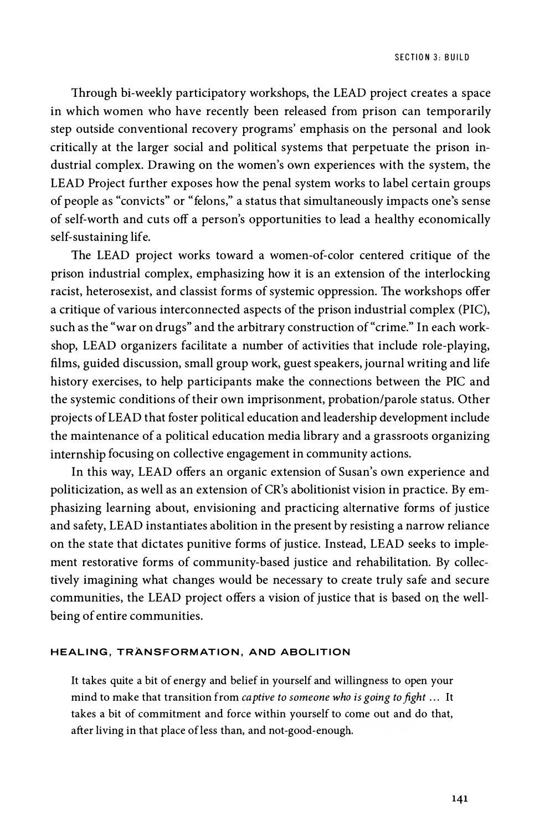Through bi-weekly participatory workshops, the LEAD project creates a space in which women who have recently been released from prison can temporarily step outside conventional recovery programs' emphasis on the personal and look critically at the larger social and political systems that perpetuate the prison industrial complex. Drawing on the women's own experiences with the system, the LEAD Project further exposes how the penal system works to label certain groups of people as "convicts" or "felons," a status that simultaneously impacts one's sense of self-worth and cuts off a person's opportunities to lead a healthy economically self-sustaining life.

The LEAD project works toward a women-of-color centered critique of the prison industrial complex, emphasizing how it is an extension of the interlocking racist, heterosexist, and classist forms of systemic oppression. The workshops offer a critique of various interconnected aspects of the prison industrial complex (PIC), such as the "war on drugs" and the arbitrary construction of "crime." In each workshop, LEAD organizers facilitate a number of activities that include role-playing, films, guided discussion, small group work, guest speakers, journal writing and life history exercises, to help participants make the connections between the PIC and the systemic conditions of their own imprisonment, probation/parole status. Other projects of LEAD that foster political education and leadership development include the maintenance of a political education media library and a grassroots organizing internship focusing on collective engagement in community actions.

In this way, LEAD offers an organic extension of Susan's own experience and politicization, as well as an extension of CR's abolitionist vision in practice. By emphasizing learning about, envisioning and practicing alternative forms of justice and safety, LEAD instantiates abolition in the present by resisting a narrow reliance on the state that dictates punitive forms of justice. Instead, LEAD seeks to implement restorative forms of community-based justice and rehabilitation. By collectively imagining what changes would be necessary to create truly safe and secure communities, the LEAD project offers a vision of justice that is based on the wellbeing of entire communities.

#### HEALING, TRANSFORMATION, AND ABOLITION

It takes quite a bit of energy and belief in yourself and willingness to open your mind to make that transition from captive to someone who is going to fight ... It takes a bit of commitment and force within yourself to come out and do that, after living in that place of less than, and not-good-enough.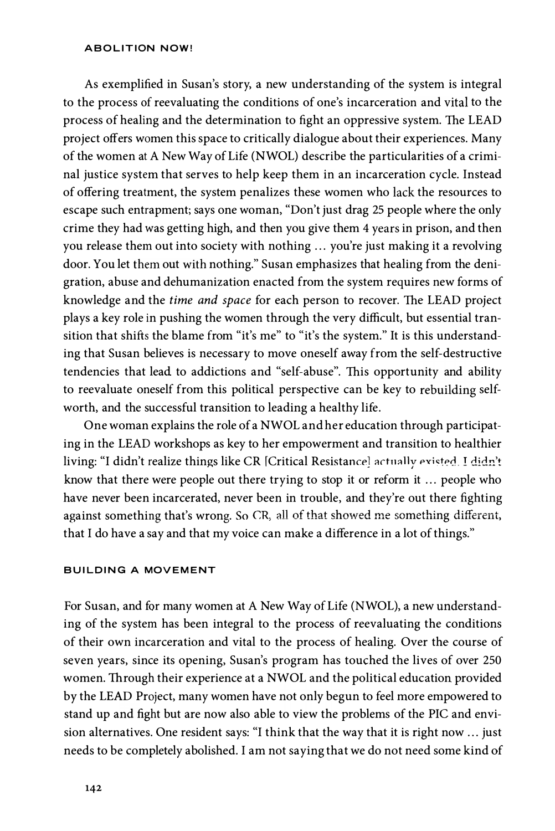#### **ABOLITION NOW!**

As exemplified in Susan's story, a new understanding of the system is integral to the process of reevaluating the conditions of one's incarceration and vital to the process of healing and the determination to fight an oppressive system. The LEAD project offers women this space to critically dialogue about their experiences. Many of the women at A New Way of Life (NWOL) describe the particularities of a criminal justice system that serves to help keep them in an incarceration cycle. Instead of offering treatment, the system penalizes these women who lack the resources to escape such entrapment; says one woman, "Don't just drag 25 people where the only crime they had was getting high, and then you give them 4 years in prison, and then you release them out into society with nothing ... you're just making it a revolving door. You let them out with nothing." Susan emphasizes that healing from the denigration, abuse and dehumanization enacted from the system requires new forms of knowledge and the time and space for each person to recover. The LEAD project plays a key role in pushing the women through the very difficult, but essential transition that shifts the blame from "it's me" to "it's the system." It is this understanding that Susan believes is necessary to move oneself away from the self-destructive tendencies that lead to addictions and "self-abuse". This opportunity and ability to reevaluate oneself from this political perspective can be key to rebuilding selfworth, and the successful transition to leading a healthy life.

One woman explains the role of a NWOL and her education through participating in the LEAD workshops as key to her empowerment and transition to healthier living: "I didn't realize things like CR [Critical Resistance] actually existed, I didn't know that there were people out there trying to stop it or reform it ... people who have never been incarcerated, never been in trouble, and they're out there fighting against something that's wrong. So CR, all of that showed me something different, that I do have a say and that my voice can make a difference in a lot of things."

## **BUILDING A MOVEMENT**

For Susan, and for many women at A New Way of Life (NWOL), a new understanding of the system has been integral to the process of reevaluating the conditions of their own incarceration and vital to the process of healing. Over the course of seven years, since its opening, Susan's program has touched the lives of over 250 women. Through their experience at a NWOL and the political education provided by the LEAD Project, many women have not only begun to feel more empowered to stand up and fight but are now also able to view the problems of the PIC and envision alternatives. One resident says: "I think that the way that it is right now ... just needs to be completely abolished. I am not saying that we do not need some kind of